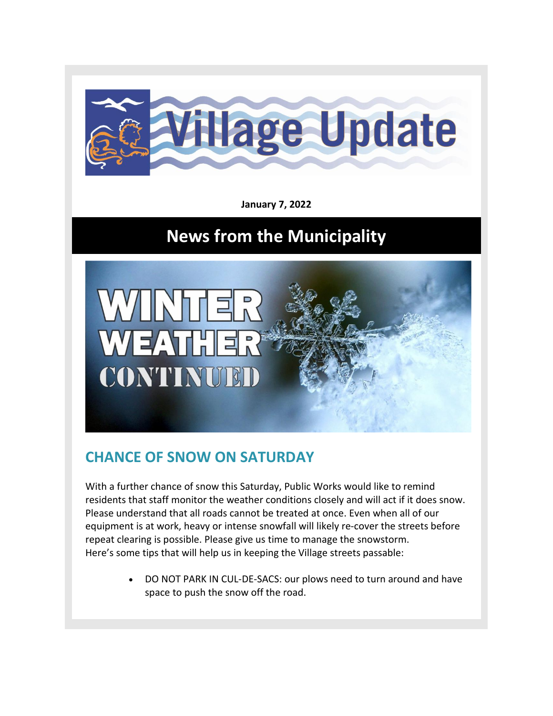

**January 7, 2022**

## **News from the Municipality**



## **CHANCE OF SNOW ON SATURDAY**

With a further chance of snow this Saturday, Public Works would like to remind residents that staff monitor the weather conditions closely and will act if it does snow. Please understand that all roads cannot be treated at once. Even when all of our equipment is at work, heavy or intense snowfall will likely re-cover the streets before repeat clearing is possible. Please give us time to manage the snowstorm. Here's some tips that will help us in keeping the Village streets passable:

> • DO NOT PARK IN CUL-DE-SACS: our plows need to turn around and have space to push the snow off the road.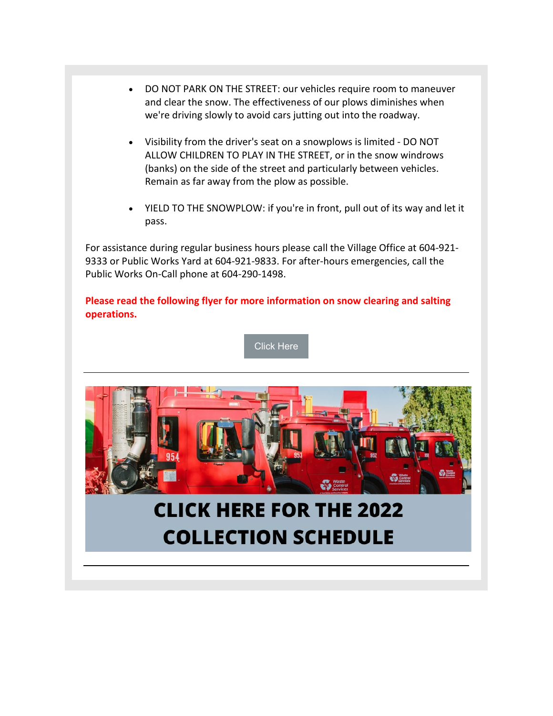- DO NOT PARK ON THE STREET: our vehicles require room to maneuver and clear the snow. The effectiveness of our plows diminishes when we're driving slowly to avoid cars jutting out into the roadway.
- Visibility from the driver's seat on a snowplows is limited DO NOT ALLOW CHILDREN TO PLAY IN THE STREET, or in the snow windrows (banks) on the side of the street and particularly between vehicles. Remain as far away from the plow as possible.
- YIELD TO THE SNOWPLOW: if you're in front, pull out of its way and let it pass.

For assistance during regular business hours please call the Village Office at 604-921- 9333 or Public Works Yard at 604-921-9833. For after-hours emergencies, call the Public Works On-Call phone at 604-290-1498.

**Please read the following flyer for more information on snow clearing and salting operations.**

[Click Here](https://www.lionsbay.ca/sites/2/files/220104_attachment_-_snow_removal.pdf)



## **CLICK HERE FOR THE 2022 COLLECTION SCHEDULE**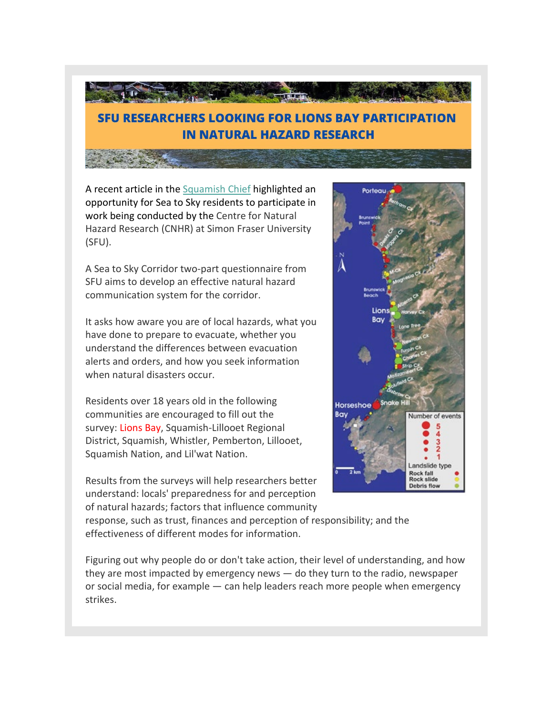

A recent article in the [Squamish Chief](https://www.squamishchief.com/local-news/sea-to-sky-residents-sought-to-fill-out-natural-hazards-survey-4835299) highlighted an opportunity for Sea to Sky residents to participate in work being conducted by the Centre for Natural Hazard Research (CNHR) at Simon Fraser University (SFU).

A Sea to Sky Corridor two-part questionnaire from SFU aims to develop an effective natural hazard communication system for the corridor.

It asks how aware you are of local hazards, what you have done to prepare to evacuate, whether you understand the differences between evacuation alerts and orders, and how you seek information when natural disasters occur.

Residents over 18 years old in the following communities are encouraged to fill out the survey: Lions Bay, Squamish-Lillooet Regional District, Squamish, Whistler, Pemberton, Lillooet, Squamish Nation, and Lil'wat Nation.

Results from the surveys will help researchers better understand: locals' preparedness for and perception of natural hazards; factors that influence community



response, such as trust, finances and perception of responsibility; and the effectiveness of different modes for information.

Figuring out why people do or don't take action, their level of understanding, and how they are most impacted by emergency news — do they turn to the radio, newspaper or social media, for example — can help leaders reach more people when emergency strikes.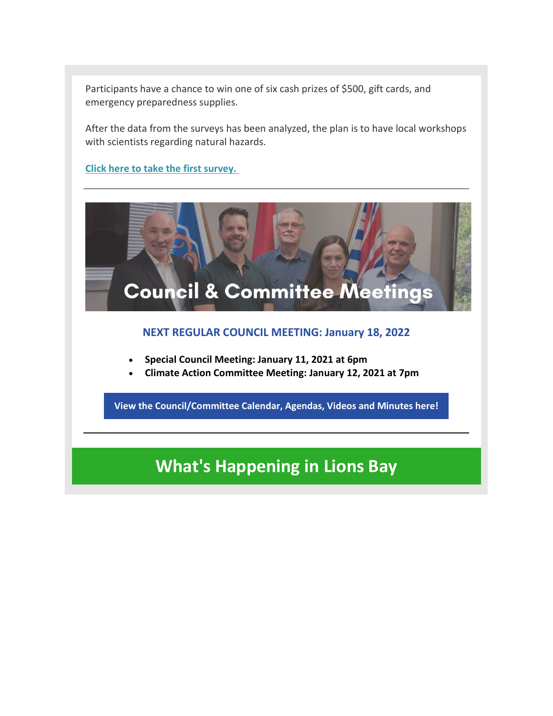Participants have a chance to win one of six cash prizes of \$500, gift cards, and emergency preparedness supplies.

After the data from the surveys has been analyzed, the plan is to have local workshops with scientists regarding natural hazards.

**[Click here to take the first survey.](https://www.surveymonkey.ca/r/naturehaz?utm_source=squamish%20chief&utm_campaign=squamish%20chief%3A%20outbound&utm_medium=referral)**



**[View the Council/Committee Calendar, Agendas, Videos and Minutes here!](https://www.lionsbay.ca/government/council-committee-meetings/agendas-minutes)**

## **What's Happening in Lions Bay**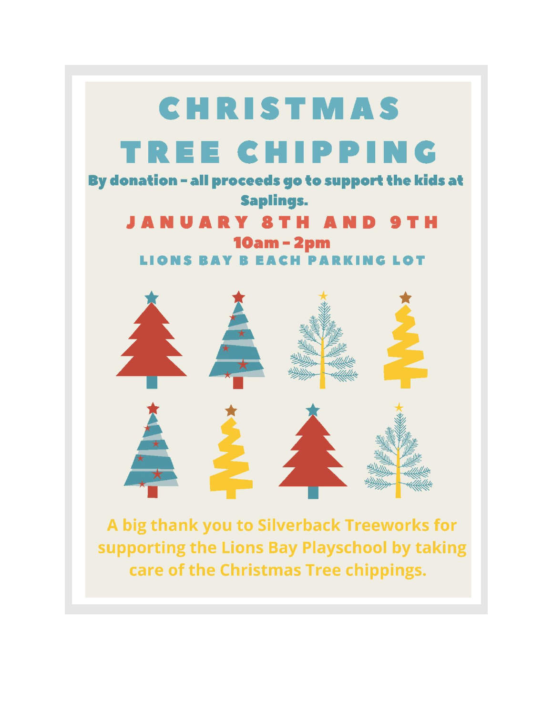